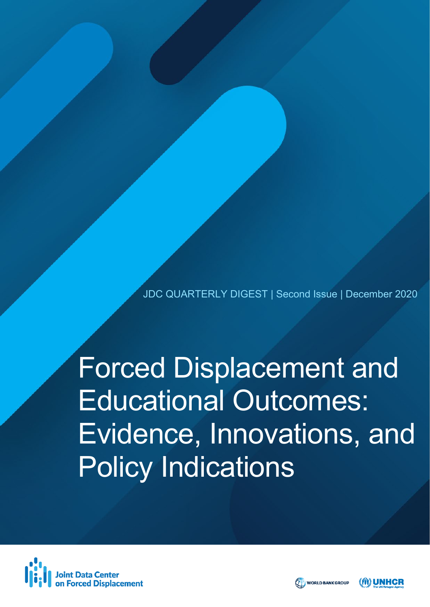JDC QUARTERLY DIGEST | Second Issue | December 2020

Forced Displacement and Educational Outcomes: Evidence, Innovations, and Policy Indications





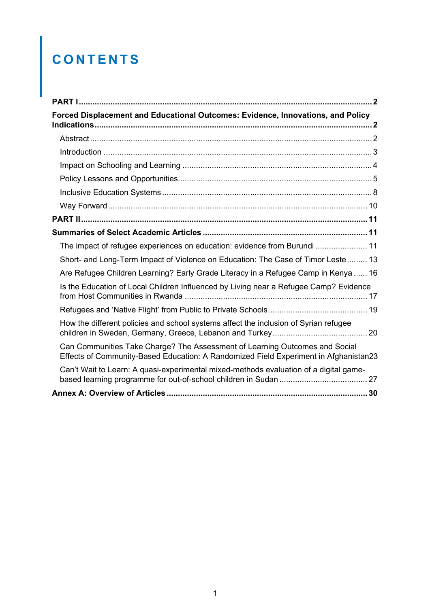# **CONTENTS**

| Forced Displacement and Educational Outcomes: Evidence, Innovations, and Policy                                                                                     |  |
|---------------------------------------------------------------------------------------------------------------------------------------------------------------------|--|
|                                                                                                                                                                     |  |
|                                                                                                                                                                     |  |
|                                                                                                                                                                     |  |
|                                                                                                                                                                     |  |
|                                                                                                                                                                     |  |
|                                                                                                                                                                     |  |
|                                                                                                                                                                     |  |
|                                                                                                                                                                     |  |
| The impact of refugee experiences on education: evidence from Burundi  11                                                                                           |  |
| Short- and Long-Term Impact of Violence on Education: The Case of Timor Leste 13                                                                                    |  |
| Are Refugee Children Learning? Early Grade Literacy in a Refugee Camp in Kenya  16                                                                                  |  |
| Is the Education of Local Children Influenced by Living near a Refugee Camp? Evidence                                                                               |  |
|                                                                                                                                                                     |  |
| How the different policies and school systems affect the inclusion of Syrian refugee                                                                                |  |
| Can Communities Take Charge? The Assessment of Learning Outcomes and Social<br>Effects of Community-Based Education: A Randomized Field Experiment in Afghanistan23 |  |
| Can't Wait to Learn: A quasi-experimental mixed-methods evaluation of a digital game-                                                                               |  |
|                                                                                                                                                                     |  |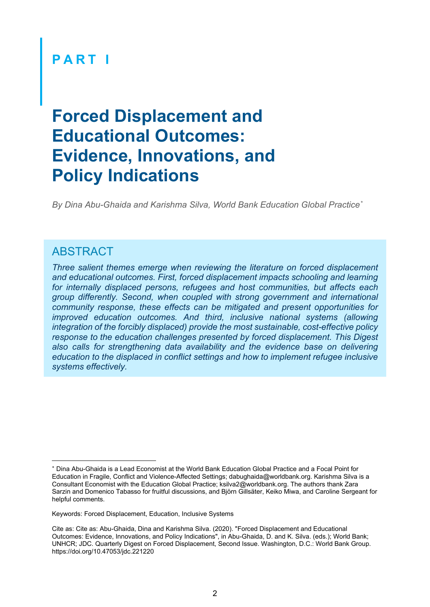### <span id="page-2-0"></span>**PART I**

# <span id="page-2-1"></span>**Forced Displacement and Educational Outcomes: Evidence, Innovations, and Policy Indications**

*By Dina Abu-Ghaida and Karishma Silva, World Bank Education Global Practice[\\*](#page-2-3)*

#### <span id="page-2-2"></span>ABSTRACT

*Three salient themes emerge when reviewing the literature on forced displacement and educational outcomes. First, forced displacement impacts schooling and learning for internally displaced persons, refugees and host communities, but affects each group differently. Second, when coupled with strong government and international community response, these effects can be mitigated and present opportunities for improved education outcomes. And third, inclusive national systems (allowing integration of the forcibly displaced) provide the most sustainable, cost-effective policy response to the education challenges presented by forced displacement. This Digest also calls for strengthening data availability and the evidence base on delivering education to the displaced in conflict settings and how to implement refugee inclusive systems effectively.*

<span id="page-2-3"></span><sup>∗</sup> Dina Abu-Ghaida is a Lead Economist at the World Bank Education Global Practice and a Focal Point for Education in Fragile, Conflict and Violence-Affected Settings; dabughaida@worldbank.org. Karishma Silva is a Consultant Economist with the Education Global Practice; ksilva2@worldbank.org. The authors thank Zara Sarzin and Domenico Tabasso for fruitful discussions, and Björn Gillsäter, Keiko Miwa, and Caroline Sergeant for helpful comments.

Keywords: Forced Displacement, Education, Inclusive Systems

Cite as: Cite as: Abu-Ghaida, Dina and Karishma Silva. (2020). "Forced Displacement and Educational Outcomes: Evidence, Innovations, and Policy Indications", in Abu-Ghaida, D. and K. Silva. (eds.); World Bank; UNHCR; JDC. Quarterly Digest on Forced Displacement, Second Issue. Washington, D.C.: World Bank Group. https://doi.org/10.47053/jdc.221220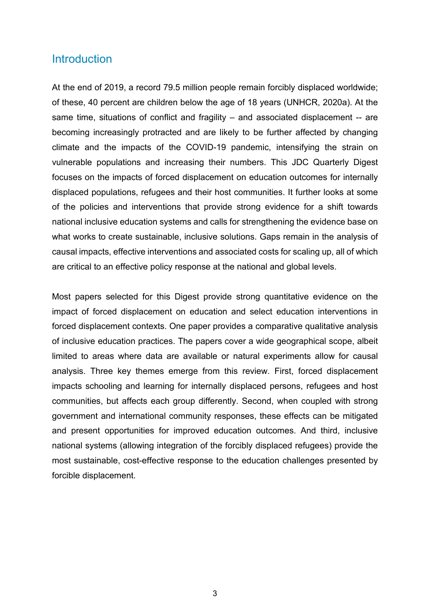#### <span id="page-3-0"></span>**Introduction**

At the end of 2019, a record 79.5 million people remain forcibly displaced worldwide; of these, 40 percent are children below the age of 18 years (UNHCR, 2020a). At the same time, situations of conflict and fragility – and associated displacement -- are becoming increasingly protracted and are likely to be further affected by changing climate and the impacts of the COVID-19 pandemic, intensifying the strain on vulnerable populations and increasing their numbers. This JDC Quarterly Digest focuses on the impacts of forced displacement on education outcomes for internally displaced populations, refugees and their host communities. It further looks at some of the policies and interventions that provide strong evidence for a shift towards national inclusive education systems and calls for strengthening the evidence base on what works to create sustainable, inclusive solutions. Gaps remain in the analysis of causal impacts, effective interventions and associated costs for scaling up, all of which are critical to an effective policy response at the national and global levels.

Most papers selected for this Digest provide strong quantitative evidence on the impact of forced displacement on education and select education interventions in forced displacement contexts. One paper provides a comparative qualitative analysis of inclusive education practices. The papers cover a wide geographical scope, albeit limited to areas where data are available or natural experiments allow for causal analysis. Three key themes emerge from this review. First, forced displacement impacts schooling and learning for internally displaced persons, refugees and host communities, but affects each group differently. Second, when coupled with strong government and international community responses, these effects can be mitigated and present opportunities for improved education outcomes. And third, inclusive national systems (allowing integration of the forcibly displaced refugees) provide the most sustainable, cost-effective response to the education challenges presented by forcible displacement.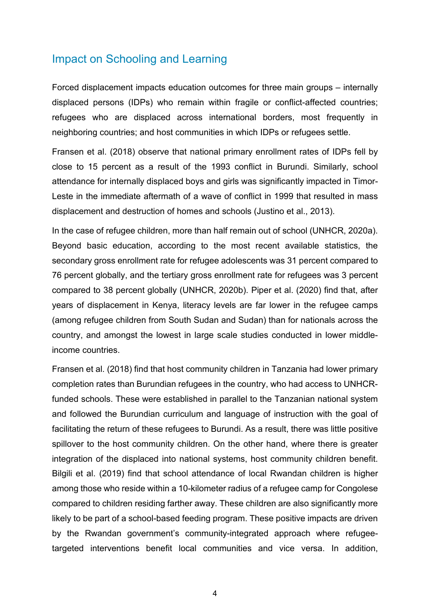#### <span id="page-4-0"></span>Impact on Schooling and Learning

Forced displacement impacts education outcomes for three main groups – internally displaced persons (IDPs) who remain within fragile or conflict-affected countries; refugees who are displaced across international borders, most frequently in neighboring countries; and host communities in which IDPs or refugees settle.

Fransen et al. (2018) observe that national primary enrollment rates of IDPs fell by close to 15 percent as a result of the 1993 conflict in Burundi. Similarly, school attendance for internally displaced boys and girls was significantly impacted in Timor-Leste in the immediate aftermath of a wave of conflict in 1999 that resulted in mass displacement and destruction of homes and schools (Justino et al., 2013).

In the case of refugee children, more than half remain out of school (UNHCR, 2020a). Beyond basic education, according to the most recent available statistics, the secondary gross enrollment rate for refugee adolescents was 31 percent compared to 76 percent globally, and the tertiary gross enrollment rate for refugees was 3 percent compared to 38 percent globally (UNHCR, 2020b). Piper et al. (2020) find that, after years of displacement in Kenya, literacy levels are far lower in the refugee camps (among refugee children from South Sudan and Sudan) than for nationals across the country, and amongst the lowest in large scale studies conducted in lower middleincome countries.

Fransen et al. (2018) find that host community children in Tanzania had lower primary completion rates than Burundian refugees in the country, who had access to UNHCRfunded schools. These were established in parallel to the Tanzanian national system and followed the Burundian curriculum and language of instruction with the goal of facilitating the return of these refugees to Burundi. As a result, there was little positive spillover to the host community children. On the other hand, where there is greater integration of the displaced into national systems, host community children benefit. Bilgili et al. (2019) find that school attendance of local Rwandan children is higher among those who reside within a 10-kilometer radius of a refugee camp for Congolese compared to children residing farther away. These children are also significantly more likely to be part of a school-based feeding program. These positive impacts are driven by the Rwandan government's community-integrated approach where refugeetargeted interventions benefit local communities and vice versa. In addition,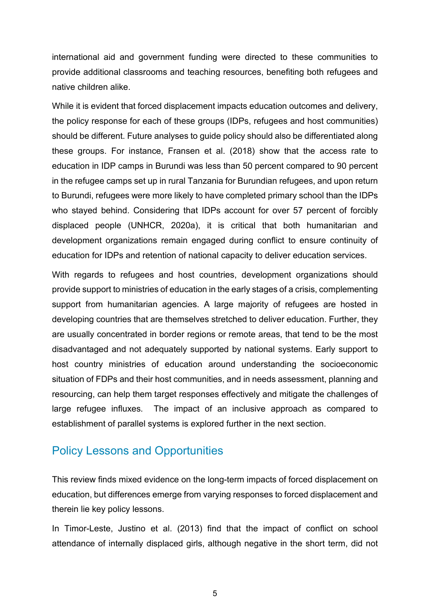international aid and government funding were directed to these communities to provide additional classrooms and teaching resources, benefiting both refugees and native children alike.

While it is evident that forced displacement impacts education outcomes and delivery, the policy response for each of these groups (IDPs, refugees and host communities) should be different. Future analyses to guide policy should also be differentiated along these groups. For instance, Fransen et al. (2018) show that the access rate to education in IDP camps in Burundi was less than 50 percent compared to 90 percent in the refugee camps set up in rural Tanzania for Burundian refugees, and upon return to Burundi, refugees were more likely to have completed primary school than the IDPs who stayed behind. Considering that IDPs account for over 57 percent of forcibly displaced people (UNHCR, 2020a), it is critical that both humanitarian and development organizations remain engaged during conflict to ensure continuity of education for IDPs and retention of national capacity to deliver education services.

With regards to refugees and host countries, development organizations should provide support to ministries of education in the early stages of a crisis, complementing support from humanitarian agencies. A large majority of refugees are hosted in developing countries that are themselves stretched to deliver education. Further, they are usually concentrated in border regions or remote areas, that tend to be the most disadvantaged and not adequately supported by national systems. Early support to host country ministries of education around understanding the socioeconomic situation of FDPs and their host communities, and in needs assessment, planning and resourcing, can help them target responses effectively and mitigate the challenges of large refugee influxes. The impact of an inclusive approach as compared to establishment of parallel systems is explored further in the next section.

#### <span id="page-5-0"></span>Policy Lessons and Opportunities

This review finds mixed evidence on the long-term impacts of forced displacement on education, but differences emerge from varying responses to forced displacement and therein lie key policy lessons.

In Timor-Leste, Justino et al. (2013) find that the impact of conflict on school attendance of internally displaced girls, although negative in the short term, did not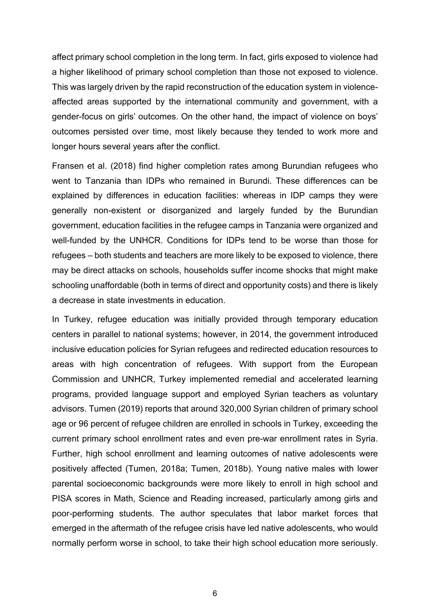affect primary school completion in the long term. In fact, girls exposed to violence had a higher likelihood of primary school completion than those not exposed to violence. This was largely driven by the rapid reconstruction of the education system in violenceaffected areas supported by the international community and government, with a gender-focus on girls' outcomes. On the other hand, the impact of violence on boys' outcomes persisted over time, most likely because they tended to work more and longer hours several years after the conflict.

Fransen et al. (2018) find higher completion rates among Burundian refugees who went to Tanzania than IDPs who remained in Burundi. These differences can be explained by differences in education facilities: whereas in IDP camps they were generally non-existent or disorganized and largely funded by the Burundian government, education facilities in the refugee camps in Tanzania were organized and well-funded by the UNHCR. Conditions for IDPs tend to be worse than those for refugees – both students and teachers are more likely to be exposed to violence, there may be direct attacks on schools, households suffer income shocks that might make schooling unaffordable (both in terms of direct and opportunity costs) and there is likely a decrease in state investments in education.

In Turkey, refugee education was initially provided through temporary education centers in parallel to national systems; however, in 2014, the government introduced inclusive education policies for Syrian refugees and redirected education resources to areas with high concentration of refugees. With support from the European Commission and UNHCR, Turkey implemented remedial and accelerated learning programs, provided language support and employed Syrian teachers as voluntary advisors. Tumen (2019) reports that around 320,000 Syrian children of primary school age or 96 percent of refugee children are enrolled in schools in Turkey, exceeding the current primary school enrollment rates and even pre-war enrollment rates in Syria. Further, high school enrollment and learning outcomes of native adolescents were positively affected (Tumen, 2018a; Tumen, 2018b). Young native males with lower parental socioeconomic backgrounds were more likely to enroll in high school and PISA scores in Math, Science and Reading increased, particularly among girls and poor-performing students. The author speculates that labor market forces that emerged in the aftermath of the refugee crisis have led native adolescents, who would normally perform worse in school, to take their high school education more seriously.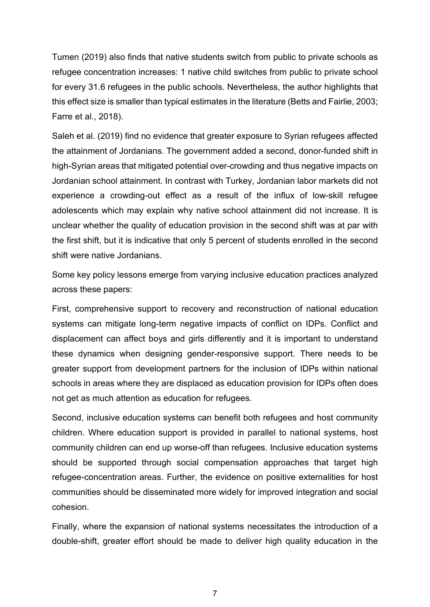Tumen (2019) also finds that native students switch from public to private schools as refugee concentration increases: 1 native child switches from public to private school for every 31.6 refugees in the public schools. Nevertheless, the author highlights that this effect size is smaller than typical estimates in the literature (Betts and Fairlie, 2003; Farre et al., 2018).

Saleh et al. (2019) find no evidence that greater exposure to Syrian refugees affected the attainment of Jordanians. The government added a second, donor-funded shift in high-Syrian areas that mitigated potential over-crowding and thus negative impacts on Jordanian school attainment. In contrast with Turkey, Jordanian labor markets did not experience a crowding-out effect as a result of the influx of low-skill refugee adolescents which may explain why native school attainment did not increase. It is unclear whether the quality of education provision in the second shift was at par with the first shift, but it is indicative that only 5 percent of students enrolled in the second shift were native Jordanians.

Some key policy lessons emerge from varying inclusive education practices analyzed across these papers:

First, comprehensive support to recovery and reconstruction of national education systems can mitigate long-term negative impacts of conflict on IDPs. Conflict and displacement can affect boys and girls differently and it is important to understand these dynamics when designing gender-responsive support. There needs to be greater support from development partners for the inclusion of IDPs within national schools in areas where they are displaced as education provision for IDPs often does not get as much attention as education for refugees.

Second, inclusive education systems can benefit both refugees and host community children. Where education support is provided in parallel to national systems, host community children can end up worse-off than refugees. Inclusive education systems should be supported through social compensation approaches that target high refugee-concentration areas. Further, the evidence on positive externalities for host communities should be disseminated more widely for improved integration and social cohesion.

Finally, where the expansion of national systems necessitates the introduction of a double-shift, greater effort should be made to deliver high quality education in the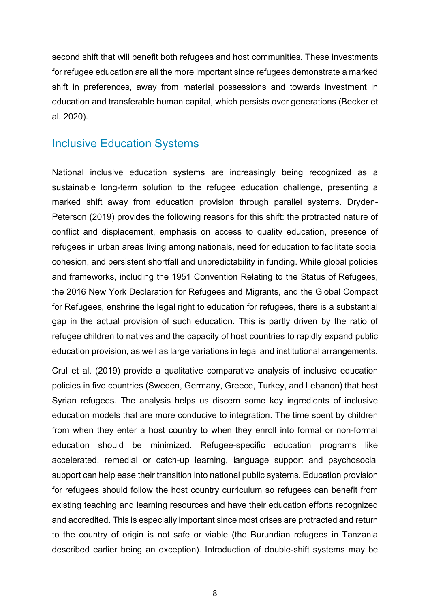second shift that will benefit both refugees and host communities. These investments for refugee education are all the more important since refugees demonstrate a marked shift in preferences, away from material possessions and towards investment in education and transferable human capital, which persists over generations (Becker et al. 2020).

#### <span id="page-8-0"></span>Inclusive Education Systems

National inclusive education systems are increasingly being recognized as a sustainable long-term solution to the refugee education challenge, presenting a marked shift away from education provision through parallel systems. Dryden-Peterson (2019) provides the following reasons for this shift: the protracted nature of conflict and displacement, emphasis on access to quality education, presence of refugees in urban areas living among nationals, need for education to facilitate social cohesion, and persistent shortfall and unpredictability in funding. While global policies and frameworks, including the 1951 Convention Relating to the Status of Refugees, the 2016 New York Declaration for Refugees and Migrants, and the Global Compact for Refugees, enshrine the legal right to education for refugees, there is a substantial gap in the actual provision of such education. This is partly driven by the ratio of refugee children to natives and the capacity of host countries to rapidly expand public education provision, as well as large variations in legal and institutional arrangements.

Crul et al. (2019) provide a qualitative comparative analysis of inclusive education policies in five countries (Sweden, Germany, Greece, Turkey, and Lebanon) that host Syrian refugees. The analysis helps us discern some key ingredients of inclusive education models that are more conducive to integration. The time spent by children from when they enter a host country to when they enroll into formal or non-formal education should be minimized. Refugee-specific education programs like accelerated, remedial or catch-up learning, language support and psychosocial support can help ease their transition into national public systems. Education provision for refugees should follow the host country curriculum so refugees can benefit from existing teaching and learning resources and have their education efforts recognized and accredited. This is especially important since most crises are protracted and return to the country of origin is not safe or viable (the Burundian refugees in Tanzania described earlier being an exception). Introduction of double-shift systems may be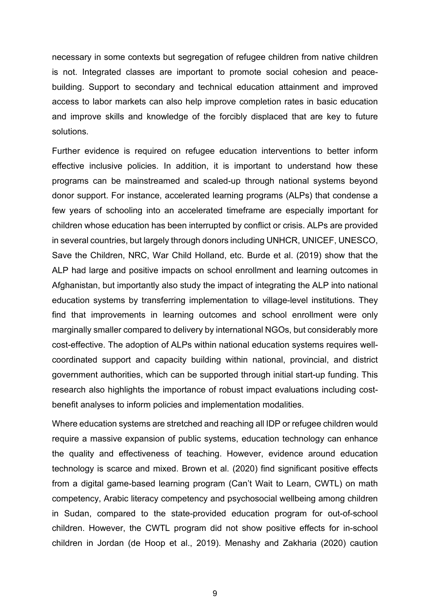necessary in some contexts but segregation of refugee children from native children is not. Integrated classes are important to promote social cohesion and peacebuilding. Support to secondary and technical education attainment and improved access to labor markets can also help improve completion rates in basic education and improve skills and knowledge of the forcibly displaced that are key to future solutions.

Further evidence is required on refugee education interventions to better inform effective inclusive policies. In addition, it is important to understand how these programs can be mainstreamed and scaled-up through national systems beyond donor support. For instance, accelerated learning programs (ALPs) that condense a few years of schooling into an accelerated timeframe are especially important for children whose education has been interrupted by conflict or crisis. ALPs are provided in several countries, but largely through donors including UNHCR, UNICEF, UNESCO, Save the Children, NRC, War Child Holland, etc. Burde et al. (2019) show that the ALP had large and positive impacts on school enrollment and learning outcomes in Afghanistan, but importantly also study the impact of integrating the ALP into national education systems by transferring implementation to village-level institutions. They find that improvements in learning outcomes and school enrollment were only marginally smaller compared to delivery by international NGOs, but considerably more cost-effective. The adoption of ALPs within national education systems requires wellcoordinated support and capacity building within national, provincial, and district government authorities, which can be supported through initial start-up funding. This research also highlights the importance of robust impact evaluations including costbenefit analyses to inform policies and implementation modalities.

Where education systems are stretched and reaching all IDP or refugee children would require a massive expansion of public systems, education technology can enhance the quality and effectiveness of teaching. However, evidence around education technology is scarce and mixed. Brown et al. (2020) find significant positive effects from a digital game-based learning program (Can't Wait to Learn, CWTL) on math competency, Arabic literacy competency and psychosocial wellbeing among children in Sudan, compared to the state-provided education program for out-of-school children. However, the CWTL program did not show positive effects for in-school children in Jordan (de Hoop et al., 2019). Menashy and Zakharia (2020) caution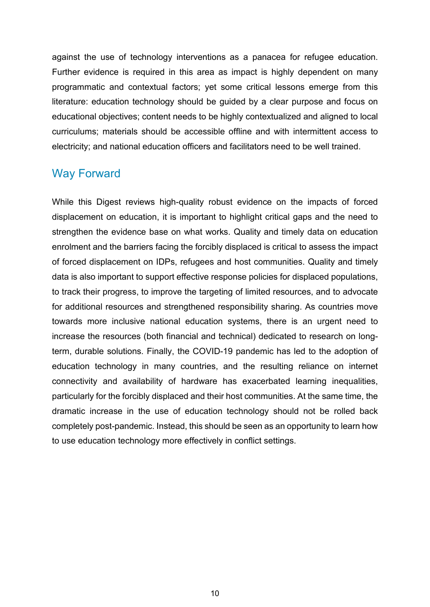against the use of technology interventions as a panacea for refugee education. Further evidence is required in this area as impact is highly dependent on many programmatic and contextual factors; yet some critical lessons emerge from this literature: education technology should be guided by a clear purpose and focus on educational objectives; content needs to be highly contextualized and aligned to local curriculums; materials should be accessible offline and with intermittent access to electricity; and national education officers and facilitators need to be well trained.

#### <span id="page-10-0"></span>Way Forward

While this Digest reviews high-quality robust evidence on the impacts of forced displacement on education, it is important to highlight critical gaps and the need to strengthen the evidence base on what works. Quality and timely data on education enrolment and the barriers facing the forcibly displaced is critical to assess the impact of forced displacement on IDPs, refugees and host communities. Quality and timely data is also important to support effective response policies for displaced populations, to track their progress, to improve the targeting of limited resources, and to advocate for additional resources and strengthened responsibility sharing. As countries move towards more inclusive national education systems, there is an urgent need to increase the resources (both financial and technical) dedicated to research on longterm, durable solutions. Finally, the COVID-19 pandemic has led to the adoption of education technology in many countries, and the resulting reliance on internet connectivity and availability of hardware has exacerbated learning inequalities, particularly for the forcibly displaced and their host communities. At the same time, the dramatic increase in the use of education technology should not be rolled back completely post-pandemic. Instead, this should be seen as an opportunity to learn how to use education technology more effectively in conflict settings.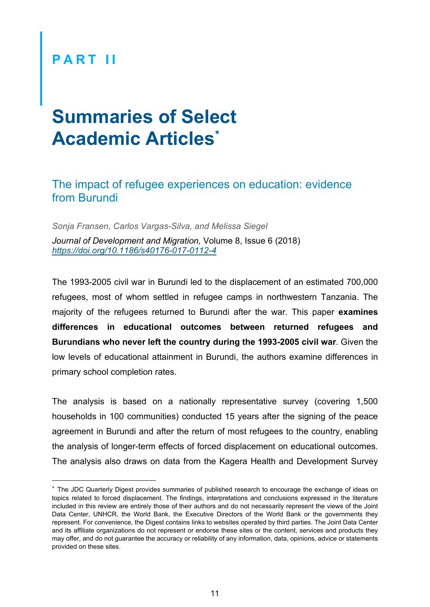## <span id="page-11-0"></span>**P ART II**

# <span id="page-11-1"></span>**Summaries of Select Academic Articles [\\*](#page-11-3)**

#### <span id="page-11-2"></span>The impact of refugee experiences on education: evidence from Burundi

*Sonja Fransen, Carlos Vargas-Silva, and Melissa Siegel Journal of Development and Migration,* Volume 8, Issue 6 (2018) *<https://doi.org/10.1186/s40176-017-0112-4>*

The 1993-2005 civil war in Burundi led to the displacement of an estimated 700,000 refugees, most of whom settled in refugee camps in northwestern Tanzania. The majority of the refugees returned to Burundi after the war. This paper **examines differences in educational outcomes between returned refugees and Burundians who never left the country during the 1993-2005 civil war**. Given the low levels of educational attainment in Burundi, the authors examine differences in primary school completion rates.

The analysis is based on a nationally representative survey (covering 1,500 households in 100 communities) conducted 15 years after the signing of the peace agreement in Burundi and after the return of most refugees to the country, enabling the analysis of longer-term effects of forced displacement on educational outcomes. The analysis also draws on data from the Kagera Health and Development Survey

<span id="page-11-3"></span><sup>∗</sup> The JDC Quarterly Digest provides summaries of published research to encourage the exchange of ideas on topics related to forced displacement. The findings, interpretations and conclusions expressed in the literature included in this review are entirely those of their authors and do not necessarily represent the views of the Joint Data Center, UNHCR, the World Bank, the Executive Directors of the World Bank or the governments they represent. For convenience, the Digest contains links to websites operated by third parties. The Joint Data Center and its affiliate organizations do not represent or endorse these sites or the content, services and products they may offer, and do not guarantee the accuracy or reliability of any information, data, opinions, advice or statements provided on these sites.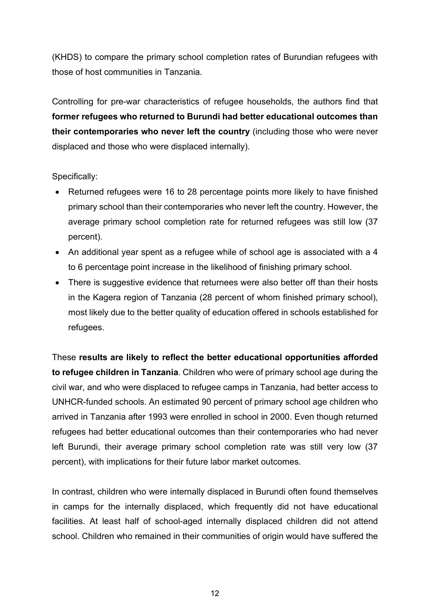(KHDS) to compare the primary school completion rates of Burundian refugees with those of host communities in Tanzania.

Controlling for pre-war characteristics of refugee households, the authors find that **former refugees who returned to Burundi had better educational outcomes than their contemporaries who never left the country** (including those who were never displaced and those who were displaced internally).

Specifically:

- Returned refugees were 16 to 28 percentage points more likely to have finished primary school than their contemporaries who never left the country. However, the average primary school completion rate for returned refugees was still low (37 percent).
- An additional year spent as a refugee while of school age is associated with a 4 to 6 percentage point increase in the likelihood of finishing primary school.
- There is suggestive evidence that returnees were also better off than their hosts in the Kagera region of Tanzania (28 percent of whom finished primary school), most likely due to the better quality of education offered in schools established for refugees.

These **results are likely to reflect the better educational opportunities afforded to refugee children in Tanzania**. Children who were of primary school age during the civil war, and who were displaced to refugee camps in Tanzania, had better access to UNHCR-funded schools. An estimated 90 percent of primary school age children who arrived in Tanzania after 1993 were enrolled in school in 2000. Even though returned refugees had better educational outcomes than their contemporaries who had never left Burundi, their average primary school completion rate was still very low (37 percent), with implications for their future labor market outcomes.

In contrast, children who were internally displaced in Burundi often found themselves in camps for the internally displaced, which frequently did not have educational facilities. At least half of school-aged internally displaced children did not attend school. Children who remained in their communities of origin would have suffered the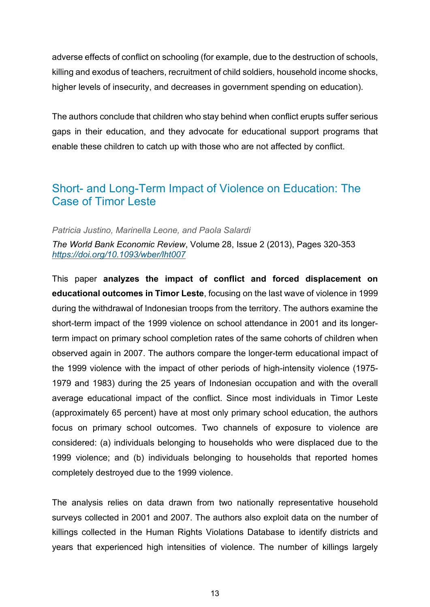adverse effects of conflict on schooling (for example, due to the destruction of schools, killing and exodus of teachers, recruitment of child soldiers, household income shocks, higher levels of insecurity, and decreases in government spending on education).

The authors conclude that children who stay behind when conflict erupts suffer serious gaps in their education, and they advocate for educational support programs that enable these children to catch up with those who are not affected by conflict.

#### <span id="page-13-0"></span>Short- and Long-Term Impact of Violence on Education: The Case of Timor Leste

#### *Patricia Justino, Marinella Leone, and Paola Salardi*

*The World Bank Economic Review*, Volume 28, Issue 2 (2013), Pages 320-353 *<https://doi.org/10.1093/wber/lht007>*

This paper **analyzes the impact of conflict and forced displacement on educational outcomes in Timor Leste**, focusing on the last wave of violence in 1999 during the withdrawal of Indonesian troops from the territory. The authors examine the short-term impact of the 1999 violence on school attendance in 2001 and its longerterm impact on primary school completion rates of the same cohorts of children when observed again in 2007. The authors compare the longer-term educational impact of the 1999 violence with the impact of other periods of high-intensity violence (1975- 1979 and 1983) during the 25 years of Indonesian occupation and with the overall average educational impact of the conflict. Since most individuals in Timor Leste (approximately 65 percent) have at most only primary school education, the authors focus on primary school outcomes. Two channels of exposure to violence are considered: (a) individuals belonging to households who were displaced due to the 1999 violence; and (b) individuals belonging to households that reported homes completely destroyed due to the 1999 violence.

The analysis relies on data drawn from two nationally representative household surveys collected in 2001 and 2007. The authors also exploit data on the number of killings collected in the Human Rights Violations Database to identify districts and years that experienced high intensities of violence. The number of killings largely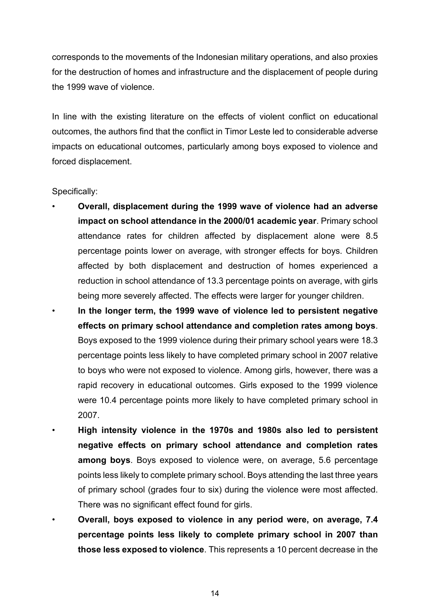corresponds to the movements of the Indonesian military operations, and also proxies for the destruction of homes and infrastructure and the displacement of people during the 1999 wave of violence.

In line with the existing literature on the effects of violent conflict on educational outcomes, the authors find that the conflict in Timor Leste led to considerable adverse impacts on educational outcomes, particularly among boys exposed to violence and forced displacement.

Specifically:

- **Overall, displacement during the 1999 wave of violence had an adverse impact on school attendance in the 2000/01 academic year**. Primary school attendance rates for children affected by displacement alone were 8.5 percentage points lower on average, with stronger effects for boys. Children affected by both displacement and destruction of homes experienced a reduction in school attendance of 13.3 percentage points on average, with girls being more severely affected. The effects were larger for younger children.
	- **In the longer term, the 1999 wave of violence led to persistent negative effects on primary school attendance and completion rates among boys**. Boys exposed to the 1999 violence during their primary school years were 18.3 percentage points less likely to have completed primary school in 2007 relative to boys who were not exposed to violence. Among girls, however, there was a rapid recovery in educational outcomes. Girls exposed to the 1999 violence were 10.4 percentage points more likely to have completed primary school in 2007.
	- **High intensity violence in the 1970s and 1980s also led to persistent negative effects on primary school attendance and completion rates among boys**. Boys exposed to violence were, on average, 5.6 percentage points less likely to complete primary school. Boys attending the last three years of primary school (grades four to six) during the violence were most affected. There was no significant effect found for girls.
	- **Overall, boys exposed to violence in any period were, on average, 7.4 percentage points less likely to complete primary school in 2007 than those less exposed to violence**. This represents a 10 percent decrease in the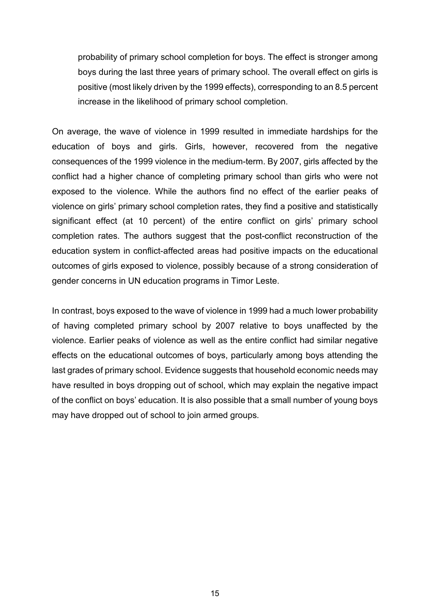probability of primary school completion for boys. The effect is stronger among boys during the last three years of primary school. The overall effect on girls is positive (most likely driven by the 1999 effects), corresponding to an 8.5 percent increase in the likelihood of primary school completion.

On average, the wave of violence in 1999 resulted in immediate hardships for the education of boys and girls. Girls, however, recovered from the negative consequences of the 1999 violence in the medium-term. By 2007, girls affected by the conflict had a higher chance of completing primary school than girls who were not exposed to the violence. While the authors find no effect of the earlier peaks of violence on girls' primary school completion rates, they find a positive and statistically significant effect (at 10 percent) of the entire conflict on girls' primary school completion rates. The authors suggest that the post-conflict reconstruction of the education system in conflict-affected areas had positive impacts on the educational outcomes of girls exposed to violence, possibly because of a strong consideration of gender concerns in UN education programs in Timor Leste.

In contrast, boys exposed to the wave of violence in 1999 had a much lower probability of having completed primary school by 2007 relative to boys unaffected by the violence. Earlier peaks of violence as well as the entire conflict had similar negative effects on the educational outcomes of boys, particularly among boys attending the last grades of primary school. Evidence suggests that household economic needs may have resulted in boys dropping out of school, which may explain the negative impact of the conflict on boys' education. It is also possible that a small number of young boys may have dropped out of school to join armed groups.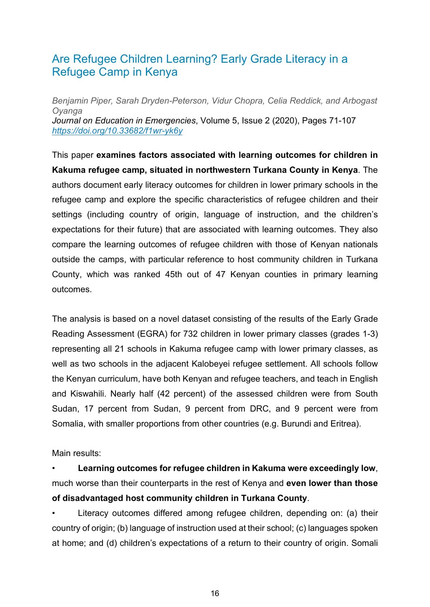#### <span id="page-16-0"></span>Are Refugee Children Learning? Early Grade Literacy in a Refugee Camp in Kenya

*Benjamin Piper, Sarah Dryden-Peterson, Vidur Chopra, Celia Reddick, and Arbogast Oyanga Journal on Education in Emergencies*, Volume 5, Issue 2 (2020), Pages 71-107 *https://doi.org/10.33682/f1wr-yk6y*

This paper **examines factors associated with learning outcomes for children in Kakuma refugee camp, situated in northwestern Turkana County in Kenya**. The authors document early literacy outcomes for children in lower primary schools in the refugee camp and explore the specific characteristics of refugee children and their settings (including country of origin, language of instruction, and the children's expectations for their future) that are associated with learning outcomes. They also compare the learning outcomes of refugee children with those of Kenyan nationals outside the camps, with particular reference to host community children in Turkana County, which was ranked 45th out of 47 Kenyan counties in primary learning outcomes.

The analysis is based on a novel dataset consisting of the results of the Early Grade Reading Assessment (EGRA) for 732 children in lower primary classes (grades 1-3) representing all 21 schools in Kakuma refugee camp with lower primary classes, as well as two schools in the adjacent Kalobeyei refugee settlement. All schools follow the Kenyan curriculum, have both Kenyan and refugee teachers, and teach in English and Kiswahili. Nearly half (42 percent) of the assessed children were from South Sudan, 17 percent from Sudan, 9 percent from DRC, and 9 percent were from Somalia, with smaller proportions from other countries (e.g. Burundi and Eritrea).

Main results:

• **Learning outcomes for refugee children in Kakuma were exceedingly low**, much worse than their counterparts in the rest of Kenya and **even lower than those of disadvantaged host community children in Turkana County**.

• Literacy outcomes differed among refugee children, depending on: (a) their country of origin; (b) language of instruction used at their school; (c) languages spoken at home; and (d) children's expectations of a return to their country of origin. Somali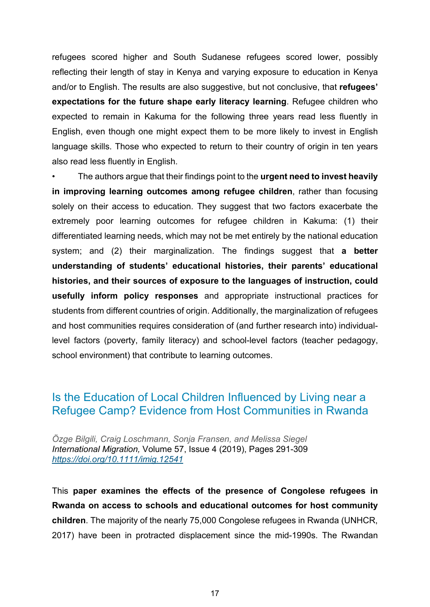refugees scored higher and South Sudanese refugees scored lower, possibly reflecting their length of stay in Kenya and varying exposure to education in Kenya and/or to English. The results are also suggestive, but not conclusive, that **refugees' expectations for the future shape early literacy learning**. Refugee children who expected to remain in Kakuma for the following three years read less fluently in English, even though one might expect them to be more likely to invest in English language skills. Those who expected to return to their country of origin in ten years also read less fluently in English.

• The authors argue that their findings point to the **urgent need to invest heavily in improving learning outcomes among refugee children**, rather than focusing solely on their access to education. They suggest that two factors exacerbate the extremely poor learning outcomes for refugee children in Kakuma: (1) their differentiated learning needs, which may not be met entirely by the national education system; and (2) their marginalization. The findings suggest that **a better understanding of students' educational histories, their parents' educational histories, and their sources of exposure to the languages of instruction, could usefully inform policy responses** and appropriate instructional practices for students from different countries of origin. Additionally, the marginalization of refugees and host communities requires consideration of (and further research into) individuallevel factors (poverty, family literacy) and school-level factors (teacher pedagogy, school environment) that contribute to learning outcomes.

#### <span id="page-17-0"></span>Is the Education of Local Children Influenced by Living near a Refugee Camp? Evidence from Host Communities in Rwanda

*Özge Bilgili, Craig Loschmann, Sonja Fransen, and Melissa Siegel International Migration,* Volume 57, Issue 4 (2019), Pages 291-309 *<https://doi.org/10.1111/imig.12541>*

This **paper examines the effects of the presence of Congolese refugees in Rwanda on access to schools and educational outcomes for host community children**. The majority of the nearly 75,000 Congolese refugees in Rwanda (UNHCR, 2017) have been in protracted displacement since the mid-1990s. The Rwandan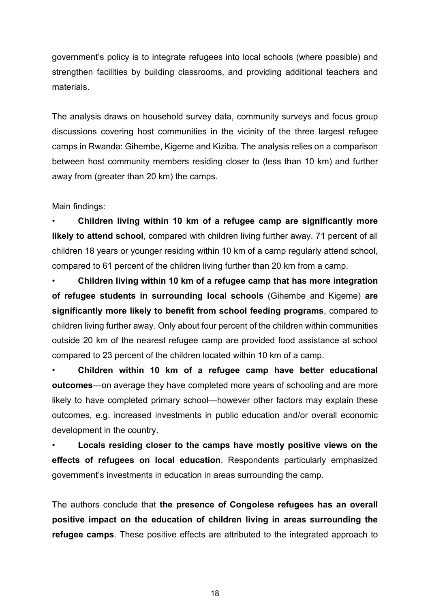government's policy is to integrate refugees into local schools (where possible) and strengthen facilities by building classrooms, and providing additional teachers and materials.

The analysis draws on household survey data, community surveys and focus group discussions covering host communities in the vicinity of the three largest refugee camps in Rwanda: Gihembe, Kigeme and Kiziba. The analysis relies on a comparison between host community members residing closer to (less than 10 km) and further away from (greater than 20 km) the camps.

Main findings:

• **Children living within 10 km of a refugee camp are significantly more likely to attend school**, compared with children living further away. 71 percent of all children 18 years or younger residing within 10 km of a camp regularly attend school, compared to 61 percent of the children living further than 20 km from a camp.

• **Children living within 10 km of a refugee camp that has more integration of refugee students in surrounding local schools** (Gihembe and Kigeme) **are significantly more likely to benefit from school feeding programs**, compared to children living further away. Only about four percent of the children within communities outside 20 km of the nearest refugee camp are provided food assistance at school compared to 23 percent of the children located within 10 km of a camp.

• **Children within 10 km of a refugee camp have better educational outcomes**—on average they have completed more years of schooling and are more likely to have completed primary school—however other factors may explain these outcomes, e.g. increased investments in public education and/or overall economic development in the country.

• **Locals residing closer to the camps have mostly positive views on the effects of refugees on local education**. Respondents particularly emphasized government's investments in education in areas surrounding the camp.

The authors conclude that **the presence of Congolese refugees has an overall positive impact on the education of children living in areas surrounding the refugee camps**. These positive effects are attributed to the integrated approach to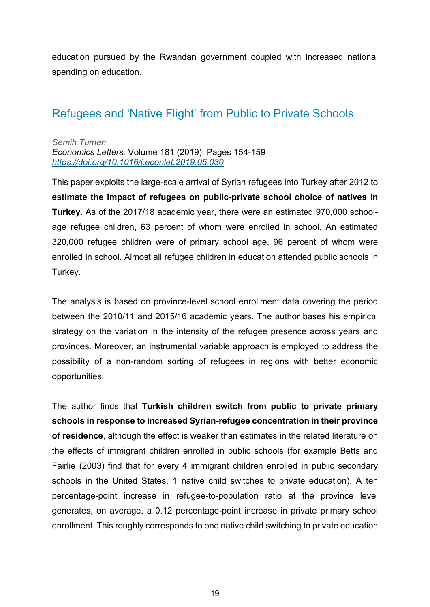education pursued by the Rwandan government coupled with increased national spending on education.

#### <span id="page-19-0"></span>Refugees and 'Native Flight' from Public to Private Schools

*Semih Tumen Economics Letters,* Volume 181 (2019), Pages 154-159 *<https://doi.org/10.1016/j.econlet.2019.05.030>*

This paper exploits the large-scale arrival of Syrian refugees into Turkey after 2012 to **estimate the impact of refugees on public-private school choice of natives in Turkey**. As of the 2017/18 academic year, there were an estimated 970,000 schoolage refugee children, 63 percent of whom were enrolled in school. An estimated 320,000 refugee children were of primary school age, 96 percent of whom were enrolled in school. Almost all refugee children in education attended public schools in Turkey.

The analysis is based on province-level school enrollment data covering the period between the 2010/11 and 2015/16 academic years. The author bases his empirical strategy on the variation in the intensity of the refugee presence across years and provinces. Moreover, an instrumental variable approach is employed to address the possibility of a non-random sorting of refugees in regions with better economic opportunities.

The author finds that **Turkish children switch from public to private primary schools in response to increased Syrian-refugee concentration in their province of residence**, although the effect is weaker than estimates in the related literature on the effects of immigrant children enrolled in public schools (for example Betts and Fairlie (2003) find that for every 4 immigrant children enrolled in public secondary schools in the United States, 1 native child switches to private education). A ten percentage-point increase in refugee-to-population ratio at the province level generates, on average, a 0.12 percentage-point increase in private primary school enrollment. This roughly corresponds to one native child switching to private education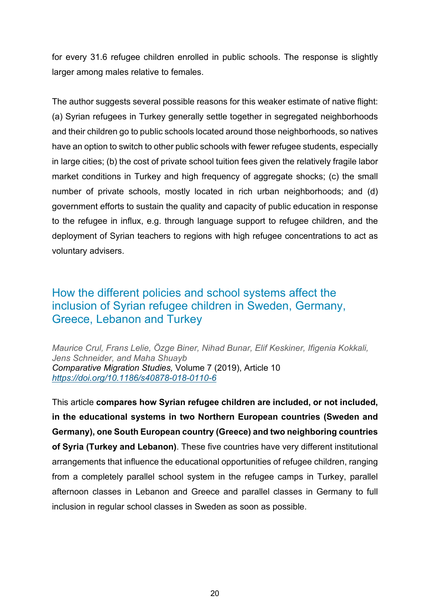for every 31.6 refugee children enrolled in public schools. The response is slightly larger among males relative to females.

The author suggests several possible reasons for this weaker estimate of native flight: (a) Syrian refugees in Turkey generally settle together in segregated neighborhoods and their children go to public schools located around those neighborhoods, so natives have an option to switch to other public schools with fewer refugee students, especially in large cities; (b) the cost of private school tuition fees given the relatively fragile labor market conditions in Turkey and high frequency of aggregate shocks; (c) the small number of private schools, mostly located in rich urban neighborhoods; and (d) government efforts to sustain the quality and capacity of public education in response to the refugee in influx, e.g. through language support to refugee children, and the deployment of Syrian teachers to regions with high refugee concentrations to act as voluntary advisers.

#### <span id="page-20-0"></span>How the different policies and school systems affect the inclusion of Syrian refugee children in Sweden, Germany, Greece, Lebanon and Turkey

*Maurice Crul, Frans Lelie, Özge Biner, Nihad Bunar, Elif Keskiner, Ifigenia Kokkali, Jens Schneider, and Maha Shuayb Comparative Migration Studies,* Volume 7 (2019), Article 10 *<https://doi.org/10.1186/s40878-018-0110-6>*

This article **compares how Syrian refugee children are included, or not included, in the educational systems in two Northern European countries (Sweden and Germany), one South European country (Greece) and two neighboring countries of Syria (Turkey and Lebanon)**. These five countries have very different institutional arrangements that influence the educational opportunities of refugee children, ranging from a completely parallel school system in the refugee camps in Turkey, parallel afternoon classes in Lebanon and Greece and parallel classes in Germany to full inclusion in regular school classes in Sweden as soon as possible.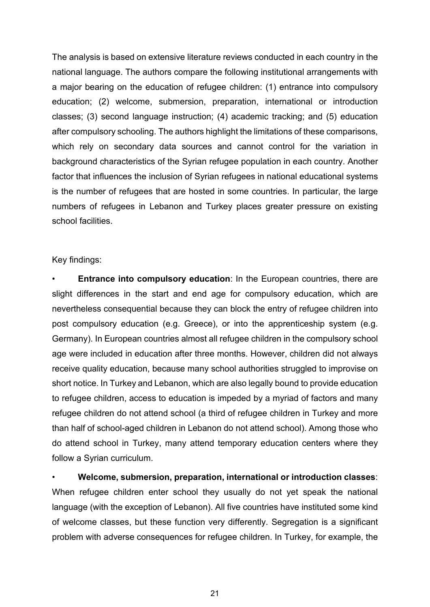The analysis is based on extensive literature reviews conducted in each country in the national language. The authors compare the following institutional arrangements with a major bearing on the education of refugee children: (1) entrance into compulsory education; (2) welcome, submersion, preparation, international or introduction classes; (3) second language instruction; (4) academic tracking; and (5) education after compulsory schooling. The authors highlight the limitations of these comparisons, which rely on secondary data sources and cannot control for the variation in background characteristics of the Syrian refugee population in each country. Another factor that influences the inclusion of Syrian refugees in national educational systems is the number of refugees that are hosted in some countries. In particular, the large numbers of refugees in Lebanon and Turkey places greater pressure on existing school facilities.

#### Key findings:

• **Entrance into compulsory education**: In the European countries, there are slight differences in the start and end age for compulsory education, which are nevertheless consequential because they can block the entry of refugee children into post compulsory education (e.g. Greece), or into the apprenticeship system (e.g. Germany). In European countries almost all refugee children in the compulsory school age were included in education after three months. However, children did not always receive quality education, because many school authorities struggled to improvise on short notice. In Turkey and Lebanon, which are also legally bound to provide education to refugee children, access to education is impeded by a myriad of factors and many refugee children do not attend school (a third of refugee children in Turkey and more than half of school-aged children in Lebanon do not attend school). Among those who do attend school in Turkey, many attend temporary education centers where they follow a Syrian curriculum.

• **Welcome, submersion, preparation, international or introduction classes**: When refugee children enter school they usually do not yet speak the national language (with the exception of Lebanon). All five countries have instituted some kind of welcome classes, but these function very differently. Segregation is a significant problem with adverse consequences for refugee children. In Turkey, for example, the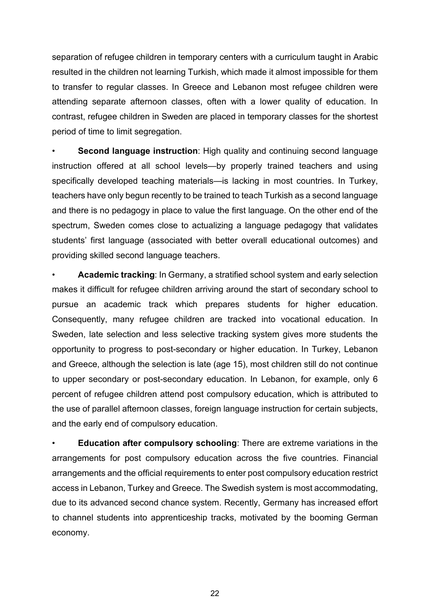separation of refugee children in temporary centers with a curriculum taught in Arabic resulted in the children not learning Turkish, which made it almost impossible for them to transfer to regular classes. In Greece and Lebanon most refugee children were attending separate afternoon classes, often with a lower quality of education. In contrast, refugee children in Sweden are placed in temporary classes for the shortest period of time to limit segregation.

**Second language instruction**: High quality and continuing second language instruction offered at all school levels—by properly trained teachers and using specifically developed teaching materials—is lacking in most countries. In Turkey, teachers have only begun recently to be trained to teach Turkish as a second language and there is no pedagogy in place to value the first language. On the other end of the spectrum, Sweden comes close to actualizing a language pedagogy that validates students' first language (associated with better overall educational outcomes) and providing skilled second language teachers.

• **Academic tracking**: In Germany, a stratified school system and early selection makes it difficult for refugee children arriving around the start of secondary school to pursue an academic track which prepares students for higher education. Consequently, many refugee children are tracked into vocational education. In Sweden, late selection and less selective tracking system gives more students the opportunity to progress to post-secondary or higher education. In Turkey, Lebanon and Greece, although the selection is late (age 15), most children still do not continue to upper secondary or post-secondary education. In Lebanon, for example, only 6 percent of refugee children attend post compulsory education, which is attributed to the use of parallel afternoon classes, foreign language instruction for certain subjects, and the early end of compulsory education.

• **Education after compulsory schooling**: There are extreme variations in the arrangements for post compulsory education across the five countries. Financial arrangements and the official requirements to enter post compulsory education restrict access in Lebanon, Turkey and Greece. The Swedish system is most accommodating, due to its advanced second chance system. Recently, Germany has increased effort to channel students into apprenticeship tracks, motivated by the booming German economy.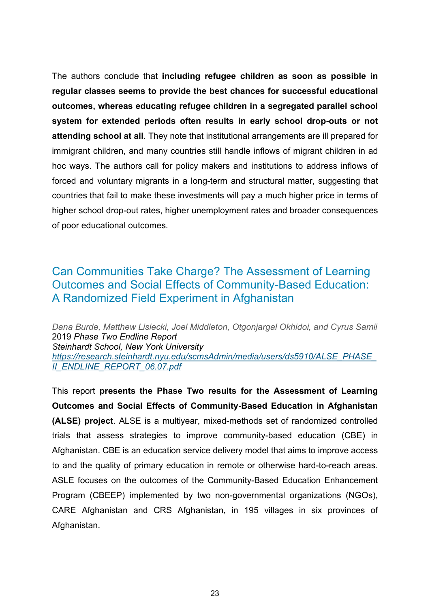The authors conclude that **including refugee children as soon as possible in regular classes seems to provide the best chances for successful educational outcomes, whereas educating refugee children in a segregated parallel school system for extended periods often results in early school drop-outs or not attending school at all**. They note that institutional arrangements are ill prepared for immigrant children, and many countries still handle inflows of migrant children in ad hoc ways. The authors call for policy makers and institutions to address inflows of forced and voluntary migrants in a long-term and structural matter, suggesting that countries that fail to make these investments will pay a much higher price in terms of higher school drop-out rates, higher unemployment rates and broader consequences of poor educational outcomes.

#### <span id="page-23-0"></span>Can Communities Take Charge? The Assessment of Learning Outcomes and Social Effects of Community-Based Education: A Randomized Field Experiment in Afghanistan

*Dana Burde, Matthew Lisiecki, Joel Middleton, Otgonjargal Okhidoi, and Cyrus Samii* 2019 *Phase Two Endline Report Steinhardt School, New York University [https://research.steinhardt.nyu.edu/scmsAdmin/media/users/ds5910/ALSE\\_PHASE\\_](https://research.steinhardt.nyu.edu/scmsAdmin/media/users/ds5910/ALSE_PHASE_II_ENDLINE_REPORT_06.07.pdf) [II\\_ENDLINE\\_REPORT\\_06.07.pdf](https://research.steinhardt.nyu.edu/scmsAdmin/media/users/ds5910/ALSE_PHASE_II_ENDLINE_REPORT_06.07.pdf)*

This report **presents the Phase Two results for the Assessment of Learning Outcomes and Social Effects of Community-Based Education in Afghanistan (ALSE) project**. ALSE is a multiyear, mixed-methods set of randomized controlled trials that assess strategies to improve community-based education (CBE) in Afghanistan. CBE is an education service delivery model that aims to improve access to and the quality of primary education in remote or otherwise hard-to-reach areas. ASLE focuses on the outcomes of the Community-Based Education Enhancement Program (CBEEP) implemented by two non-governmental organizations (NGOs), CARE Afghanistan and CRS Afghanistan, in 195 villages in six provinces of Afghanistan.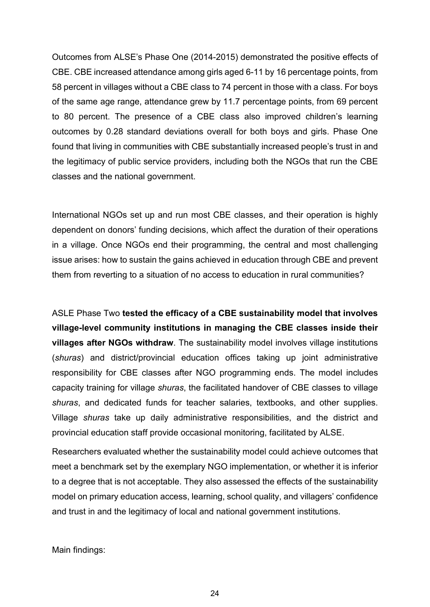Outcomes from ALSE's Phase One (2014-2015) demonstrated the positive effects of CBE. CBE increased attendance among girls aged 6-11 by 16 percentage points, from 58 percent in villages without a CBE class to 74 percent in those with a class. For boys of the same age range, attendance grew by 11.7 percentage points, from 69 percent to 80 percent. The presence of a CBE class also improved children's learning outcomes by 0.28 standard deviations overall for both boys and girls. Phase One found that living in communities with CBE substantially increased people's trust in and the legitimacy of public service providers, including both the NGOs that run the CBE classes and the national government.

International NGOs set up and run most CBE classes, and their operation is highly dependent on donors' funding decisions, which affect the duration of their operations in a village. Once NGOs end their programming, the central and most challenging issue arises: how to sustain the gains achieved in education through CBE and prevent them from reverting to a situation of no access to education in rural communities?

ASLE Phase Two **tested the efficacy of a CBE sustainability model that involves village-level community institutions in managing the CBE classes inside their villages after NGOs withdraw**. The sustainability model involves village institutions (*shuras*) and district/provincial education offices taking up joint administrative responsibility for CBE classes after NGO programming ends. The model includes capacity training for village *shuras*, the facilitated handover of CBE classes to village *shuras*, and dedicated funds for teacher salaries, textbooks, and other supplies. Village *shuras* take up daily administrative responsibilities, and the district and provincial education staff provide occasional monitoring, facilitated by ALSE.

Researchers evaluated whether the sustainability model could achieve outcomes that meet a benchmark set by the exemplary NGO implementation, or whether it is inferior to a degree that is not acceptable. They also assessed the effects of the sustainability model on primary education access, learning, school quality, and villagers' confidence and trust in and the legitimacy of local and national government institutions.

Main findings: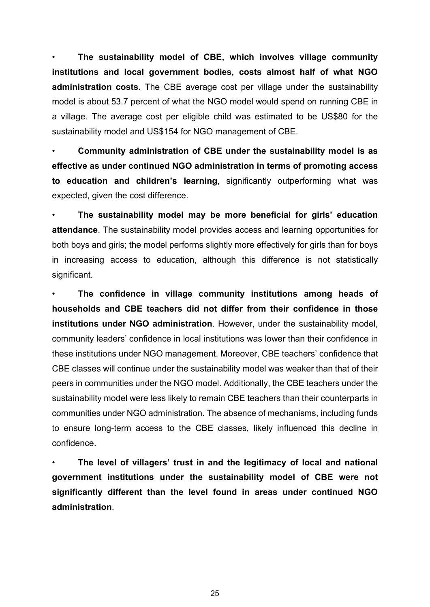• **The sustainability model of CBE, which involves village community institutions and local government bodies, costs almost half of what NGO administration costs.** The CBE average cost per village under the sustainability model is about 53.7 percent of what the NGO model would spend on running CBE in a village. The average cost per eligible child was estimated to be US\$80 for the sustainability model and US\$154 for NGO management of CBE.

• **Community administration of CBE under the sustainability model is as effective as under continued NGO administration in terms of promoting access to education and children's learning**, significantly outperforming what was expected, given the cost difference.

• **The sustainability model may be more beneficial for girls' education attendance**. The sustainability model provides access and learning opportunities for both boys and girls; the model performs slightly more effectively for girls than for boys in increasing access to education, although this difference is not statistically significant.

• **The confidence in village community institutions among heads of households and CBE teachers did not differ from their confidence in those institutions under NGO administration**. However, under the sustainability model, community leaders' confidence in local institutions was lower than their confidence in these institutions under NGO management. Moreover, CBE teachers' confidence that CBE classes will continue under the sustainability model was weaker than that of their peers in communities under the NGO model. Additionally, the CBE teachers under the sustainability model were less likely to remain CBE teachers than their counterparts in communities under NGO administration. The absence of mechanisms, including funds to ensure long-term access to the CBE classes, likely influenced this decline in confidence.

• **The level of villagers' trust in and the legitimacy of local and national government institutions under the sustainability model of CBE were not significantly different than the level found in areas under continued NGO administration**.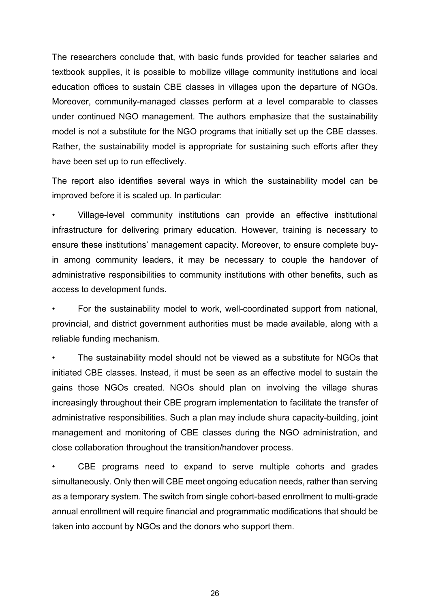The researchers conclude that, with basic funds provided for teacher salaries and textbook supplies, it is possible to mobilize village community institutions and local education offices to sustain CBE classes in villages upon the departure of NGOs. Moreover, community-managed classes perform at a level comparable to classes under continued NGO management. The authors emphasize that the sustainability model is not a substitute for the NGO programs that initially set up the CBE classes. Rather, the sustainability model is appropriate for sustaining such efforts after they have been set up to run effectively.

The report also identifies several ways in which the sustainability model can be improved before it is scaled up. In particular:

• Village-level community institutions can provide an effective institutional infrastructure for delivering primary education. However, training is necessary to ensure these institutions' management capacity. Moreover, to ensure complete buyin among community leaders, it may be necessary to couple the handover of administrative responsibilities to community institutions with other benefits, such as access to development funds.

• For the sustainability model to work, well-coordinated support from national, provincial, and district government authorities must be made available, along with a reliable funding mechanism.

The sustainability model should not be viewed as a substitute for NGOs that initiated CBE classes. Instead, it must be seen as an effective model to sustain the gains those NGOs created. NGOs should plan on involving the village shuras increasingly throughout their CBE program implementation to facilitate the transfer of administrative responsibilities. Such a plan may include shura capacity-building, joint management and monitoring of CBE classes during the NGO administration, and close collaboration throughout the transition/handover process.

CBE programs need to expand to serve multiple cohorts and grades simultaneously. Only then will CBE meet ongoing education needs, rather than serving as a temporary system. The switch from single cohort-based enrollment to multi-grade annual enrollment will require financial and programmatic modifications that should be taken into account by NGOs and the donors who support them.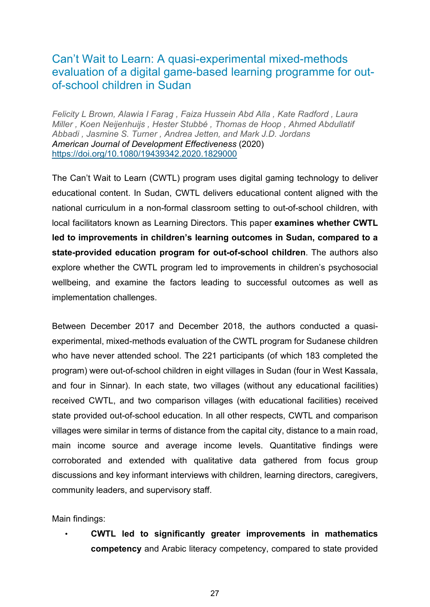#### <span id="page-27-0"></span>Can't Wait to Learn: A quasi-experimental mixed-methods evaluation of a digital game-based learning programme for outof-school children in Sudan

*Felicity L Brown, Alawia I Farag , Faiza Hussein Abd Alla , Kate Radford , Laura Miller , Koen Neijenhuijs , Hester Stubbé , Thomas de Hoop , Ahmed Abdullatif Abbadi , Jasmine S. Turner , Andrea Jetten, and Mark J.D. Jordans American Journal of Development Effectiveness* (2020) <https://doi.org/10.1080/19439342.2020.1829000>

The Can't Wait to Learn (CWTL) program uses digital gaming technology to deliver educational content. In Sudan, CWTL delivers educational content aligned with the national curriculum in a non-formal classroom setting to out-of-school children, with local facilitators known as Learning Directors. This paper **examines whether CWTL led to improvements in children's learning outcomes in Sudan, compared to a state-provided education program for out-of-school children**. The authors also explore whether the CWTL program led to improvements in children's psychosocial wellbeing, and examine the factors leading to successful outcomes as well as implementation challenges.

Between December 2017 and December 2018, the authors conducted a quasiexperimental, mixed-methods evaluation of the CWTL program for Sudanese children who have never attended school. The 221 participants (of which 183 completed the program) were out-of-school children in eight villages in Sudan (four in West Kassala, and four in Sinnar). In each state, two villages (without any educational facilities) received CWTL, and two comparison villages (with educational facilities) received state provided out-of-school education. In all other respects, CWTL and comparison villages were similar in terms of distance from the capital city, distance to a main road, main income source and average income levels. Quantitative findings were corroborated and extended with qualitative data gathered from focus group discussions and key informant interviews with children, learning directors, caregivers, community leaders, and supervisory staff.

Main findings:

• **CWTL led to significantly greater improvements in mathematics competency** and Arabic literacy competency, compared to state provided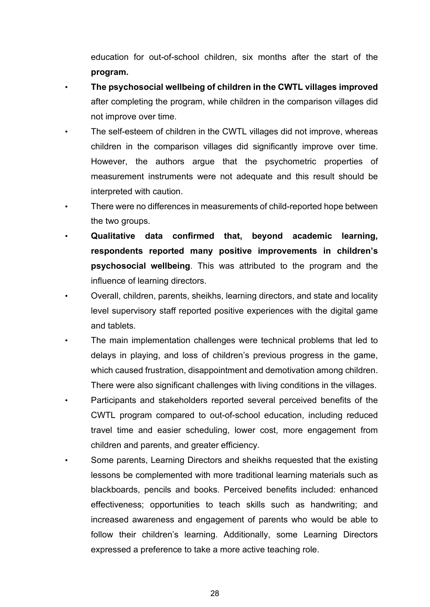education for out-of-school children, six months after the start of the **program.** 

- **The psychosocial wellbeing of children in the CWTL villages improved** after completing the program, while children in the comparison villages did not improve over time.
- The self-esteem of children in the CWTL villages did not improve, whereas children in the comparison villages did significantly improve over time. However, the authors argue that the psychometric properties of measurement instruments were not adequate and this result should be interpreted with caution.
- There were no differences in measurements of child-reported hope between the two groups.
- **Qualitative data confirmed that, beyond academic learning, respondents reported many positive improvements in children's psychosocial wellbeing**. This was attributed to the program and the influence of learning directors.
- Overall, children, parents, sheikhs, learning directors, and state and locality level supervisory staff reported positive experiences with the digital game and tablets.
- The main implementation challenges were technical problems that led to delays in playing, and loss of children's previous progress in the game, which caused frustration, disappointment and demotivation among children. There were also significant challenges with living conditions in the villages.
- Participants and stakeholders reported several perceived benefits of the CWTL program compared to out-of-school education, including reduced travel time and easier scheduling, lower cost, more engagement from children and parents, and greater efficiency.
- Some parents, Learning Directors and sheikhs requested that the existing lessons be complemented with more traditional learning materials such as blackboards, pencils and books. Perceived benefits included: enhanced effectiveness; opportunities to teach skills such as handwriting; and increased awareness and engagement of parents who would be able to follow their children's learning. Additionally, some Learning Directors expressed a preference to take a more active teaching role.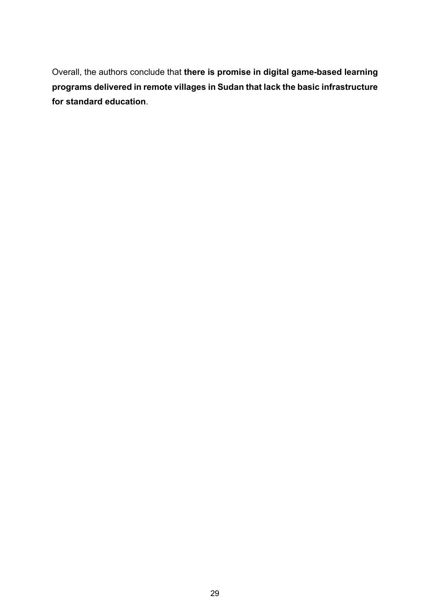Overall, the authors conclude that **there is promise in digital game-based learning programs delivered in remote villages in Sudan that lack the basic infrastructure for standard education**.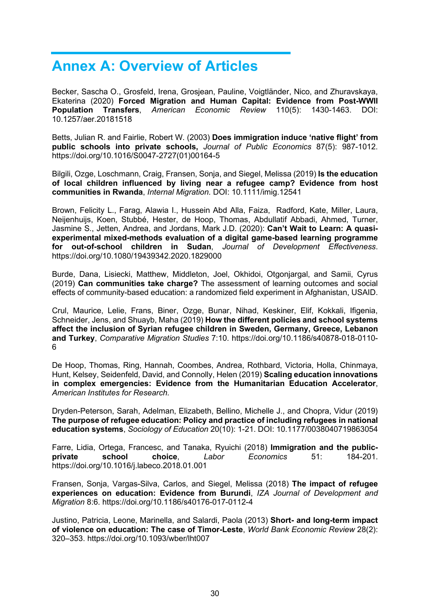## <span id="page-30-0"></span>**Annex A: Overview of Articles**

Becker, Sascha O., Grosfeld, Irena, Grosjean, Pauline, Voigtländer, Nico, and Zhuravskaya, Ekaterina (2020) **Forced Migration and Human Capital: Evidence from Post-WWII Population Transfers**, *American Economic Review* 110(5): 1430-1463. DOI: 10.1257/aer.20181518

Betts, Julian R. and Fairlie, Robert W. (2003) **Does immigration induce 'native flight' from public schools into private schools,** *Journal of Public Economics* 87(5): 987-1012. https://doi.org/10.1016/S0047-2727(01)00164-5

Bilgili, Ozge, Loschmann, Craig, Fransen, Sonja, and Siegel, Melissa (2019) **Is the education of local children influenced by living near a refugee camp? Evidence from host communities in Rwanda**, *Internal Migration.* DOI: 10.1111/imig.12541

Brown, Felicity L., Farag, Alawia I., Hussein Abd Alla, Faiza, Radford, Kate, Miller, Laura, Neijenhuijs, Koen, Stubbé, Hester, de Hoop, Thomas, Abdullatif Abbadi, Ahmed, Turner, Jasmine S., Jetten, Andrea, and Jordans, Mark J.D. (2020): **Can't Wait to Learn: A quasiexperimental mixed-methods evaluation of a digital game-based learning programme for out-of-school children in Sudan**, *Journal of Development Effectiveness*. https://doi.org/10.1080/19439342.2020.1829000

Burde, Dana, Lisiecki, Matthew, Middleton, Joel, Okhidoi, Otgonjargal, and Samii, Cyrus (2019) **Can communities take charge?** The assessment of learning outcomes and social effects of community-based education: a randomized field experiment in Afghanistan, USAID.

Crul, Maurice, Lelie, Frans, Biner, Ozge, Bunar, Nihad, Keskiner, Elif, Kokkali, Ifigenia, Schneider, Jens, and Shuayb, Maha (2019) **How the different policies and school systems affect the inclusion of Syrian refugee children in Sweden, Germany, Greece, Lebanon and Turkey**, *Comparative Migration Studies* 7:10. https://doi.org/10.1186/s40878-018-0110- 6

De Hoop, Thomas, Ring, Hannah, Coombes, Andrea, Rothbard, Victoria, Holla, Chinmaya, Hunt, Kelsey, Seidenfeld, David, and Connolly, Helen (2019) **Scaling education innovations in complex emergencies: Evidence from the Humanitarian Education Accelerator**, *American Institutes for Research.*

Dryden-Peterson, Sarah, Adelman, Elizabeth, Bellino, Michelle J., and Chopra, Vidur (2019) **The purpose of refugee education: Policy and practice of including refugees in national education systems**, *Sociology of Education* 20(10): 1-21. DOI: 10.1177/0038040719863054

Farre, Lidia, Ortega, Francesc, and Tanaka, Ryuichi (2018) **Immigration and the publicprivate school choice**, *Labor Economics* 51: 184-201. https://doi.org/10.1016/j.labeco.2018.01.001

Fransen, Sonja, Vargas-Silva, Carlos, and Siegel, Melissa (2018) **The impact of refugee experiences on education: Evidence from Burundi**, *IZA Journal of Development and Migration* 8:6. https://doi.org/10.1186/s40176-017-0112-4

Justino, Patricia, Leone, Marinella, and Salardi, Paola (2013) **Short- and long-term impact of violence on education: The case of Timor-Leste**, *World Bank Economic Review* 28(2): 320–353. https://doi.org/10.1093/wber/lht007